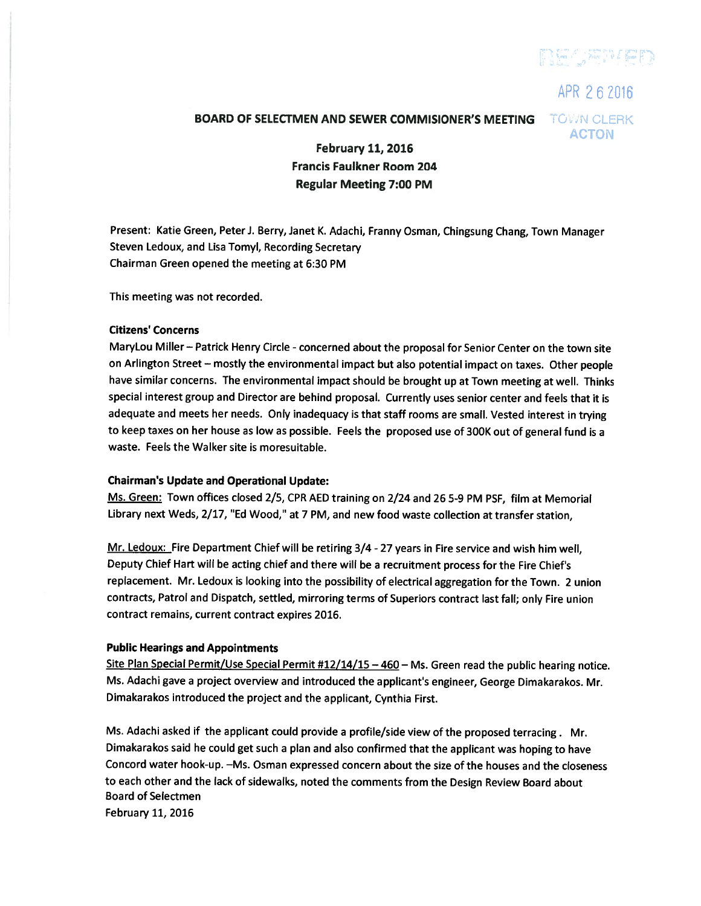

APR 262016

# BOARD OF SELECTMEN AND SEWER COMMISIONER'S MEETING TOWN CLERK

ACTON

February 11, 2016 Francis Faulkner Room 204 Regular Meeting 7:00 PM

Present: Katie Green, Peter J. Berry, Janet K. Adachi, Franny Osman, Chingsung Chang, Town Manager Steven Ledoux, and Lisa Tomyl, Recording Secretary Chairman Green opened the meeting at 6:30 PM

This meeting was not recorded.

#### Citizens' Concerns

MaryLou Miller — Patrick Henry Circle - concerned about the proposa<sup>l</sup> for Senior Center on the town site on Arlington Street — mostly the environmental impact but also potential impact on taxes. Other people have similar concerns. The environmental impact should be brought up at Town meeting at well. Thinks special interest group and Director are behind proposal. Currently uses senior center and feels that it is adequate and meets her needs. Only inadequacy is that staff rooms are small. Vested interest in trying to keep taxes on her house as low as possible. Feels the proposed use of 300K out of general fund is a waste. Feels the Walker site is moresuitable.

## Chairman's Update and Operational Update:

Ms. Green: Town offices closed 2/5, CPR AED training on 2/24 and 26 5-9 PM PSF, film at Memorial Library next Weds, 2/17, "Ed Wood," at <sup>7</sup> PM, and new food waste collection at transfer station,

Mr. Ledoux: Fire Department Chief will be retiring 3/4 - 27 years in Fire service and wish him well, Deputy Chief Hart will be acting chief and there will be <sup>a</sup> recruitment process for the Fire Chief's replacement. Mr. Ledoux is looking into the possibility of electrical aggregation for the Town. <sup>2</sup> union contracts, Patrol and Dispatch, settled, mirroring terms of Superiors contract last fall; only Fire union contract remains, current contract expires 2016.

## Public Hearings and Appointments

Site Plan Special Permit/Use Special Permit #12/14/15 - 460 - Ms. Green read the public hearing notice. Ms. Adachi gave <sup>a</sup> project overview and introduced the applicant's engineer, George Dimakarakos. Mr. Dimakarakos introduced the project and the applicant, Cynthia First.

Ms. Adachi asked if the applicant could provide <sup>a</sup> profile/side view of the propose<sup>d</sup> terracing. Mr. Dimakarakos said he could ge<sup>t</sup> such <sup>a</sup> <sup>p</sup>lan and also confirmed that the applicant was hoping to have Concord water hook-up. —Ms. Osman expressed concern about the size of the houses and the closeness to each other and the lack of sidewalks, noted the comments from the Design Review Board about Board of Selectmen February 11, 2016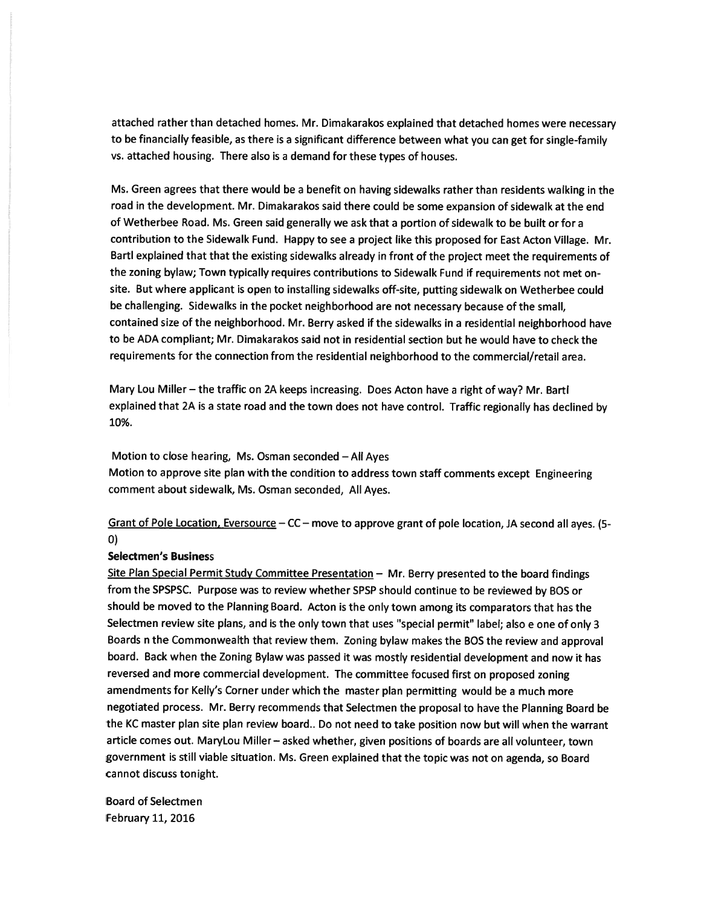attached rather than detached homes. Mr. Dimakarakos explained that detached homes were necessary to be financially feasible, as there is <sup>a</sup> significant difference between what you can ge<sup>t</sup> for single-family vs. attached housing. There also is <sup>a</sup> demand for these types of houses.

Ms. Green agrees that there would be <sup>a</sup> benefit on having sidewalks rather than residents walking in the road in the development. Mr. Dimakarakos said there could be some expansion of sidewalk at the end of Wetherbee Road. Ms. Green said generally we ask that <sup>a</sup> portion of sidewalk to be built or for <sup>a</sup> contribution to the Sidewalk Fund. Happy to see <sup>a</sup> project like this propose<sup>d</sup> for East Acton Village. Mr. Bartl explained that that the existing sidewalks already in front of the project meet the requirements of the zoning bylaw; Town typically requires contributions to Sidewalk Fund if requirements not met onsite. But where applicant is open to installing sidewalks off-site, putting sidewalk on Wetherbee could be challenging. Sidewalks in the pocket neighborhood are not necessary because of the small, contained size of the neighborhood. Mr. Berry asked if the sidewalks in <sup>a</sup> residential neighborhood have to be ADA compliant, Mr. Dimakarakos said not in residential section but he would have to check the requirements for the connection from the residential neighborhood to the commercial/retail area.

Mary Lou Miller—the traffic on 2A keeps increasing. Does Acton have <sup>a</sup> right of way? Mr. Bartl explained that 2A is <sup>a</sup> state road and the town does not have control. Traffic regionally has declined by 10%.

Motion to close hearing, Ms. Osman seconded —All Ayes Motion to approve site <sup>p</sup>lan with the condition to address town staff comments excep<sup>t</sup> Engineering comment about sidewalk, Ms. Osman seconded, All Ayes.

Grant of Pole Location, Eversource — CC — move to approve gran<sup>t</sup> of pole location, JA second all ayes. (5- 0)

#### Selectmen's Business

Site Plan Special Permit Study Committee Presentation - Mr. Berry presented to the board findings from the SPSPSC. Purpose was to review whether SPSP should continue to be reviewed by BOS or should be moved to the Planning Board. Acton is the only town among its comparators that has the Selectmen review site <sup>p</sup>lans, and is the only town that uses "special permit" label; also <sup>e</sup> one of only <sup>3</sup> Boards <sup>n</sup> the Commonwealth that review them. Zoning bylaw makes the BOS the review and approva<sup>l</sup> board. Back when the Zoning Bylaw was passe<sup>d</sup> it was mostly residential development and now it has reversed and more commercial development. The committee focused first on propose<sup>d</sup> zoning amendments for Kelly's Corner under which the master <sup>p</sup>lan permitting would be <sup>a</sup> much more negotiated process. Mr. Berry recommends that Selectmen the proposa<sup>l</sup> to have the Planning Board be the KC master <sup>p</sup>lan site <sup>p</sup>lan review board.. Do not need to take position now but will when the warrant article comes out. MaryLou Miller— asked whether, <sup>g</sup>iven positions of boards are all volunteer, town governmen<sup>t</sup> is still viable situation. Ms. Green explained that the topic was not on agenda, so Board cannot discuss tonight.

Board of Selectmen February 11, 2016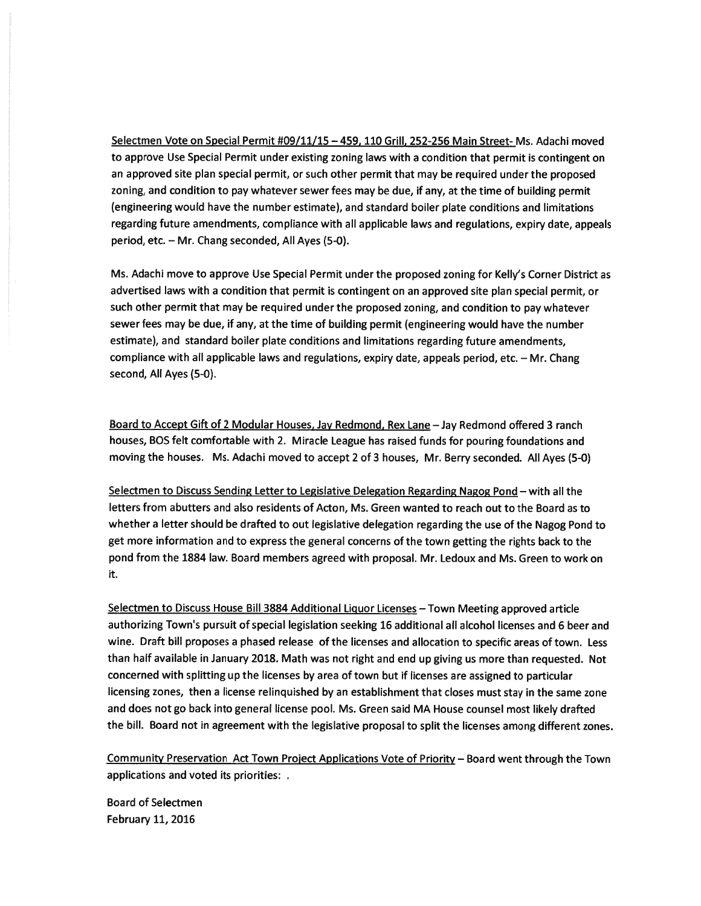Selectmen Vote on Special Permit #09/11/15 — 459, 110 Grill, 252-256 Main Street- Ms. Adachi moved to approve Use Special Permit under existing zoning laws with <sup>a</sup> condition that permit is contingent on an approved site plan special permit, or such other permit that may be required under the proposed zoning, and condition to pay whatever sewer fees may be due, if any, at the time of building permit (engineering would have the number estimate), and standard boiler plate conditions and limitations regarding future amendments, compliance with all applicable laws and regulations, expiry date, appeals period, etc. — Mr. Chang seconded, All Ayes (5-0).

Ms. Adachi move to approve Use Special Permit under the proposed zoning for Kelly's Corner District as advertised laws with <sup>a</sup> condition that permit is contingent on an approved site <sup>p</sup>lan special permit, or such other permit that may be required under the proposed zoning, and condition to pay whatever sewer fees may be due, if any, at the time of building permit (engineering would have the number estimate), and standard boiler plate conditions and limitations regarding future amendments, compliance with all applicable laws and regulations, expiry date, appeals period, etc. — Mr. Chang second, All Ayes (5-0).

Board to Accept Gift of <sup>2</sup> Modular Houses, Jay Redmond, Rex Lane —Jay Redmond offered 3 ranch houses, BOS felt comfortable with 2. Miracle League has raised funds for pouring foundations and moving the houses. Ms. Adachi moved to accep<sup>t</sup> 2 of 3 houses, Mr. Berry seconded. All Ayes (5-0)

Selectmen to Discuss Sending Letter to Legislative Delegation Regarding Nagog Pond — with all the letters from abutters and also residents of Acton, Ms. Green wanted to reach out to the Board as to whether <sup>a</sup> letter should be drafted to out legislative delegation regarding the use of the Nagog Pond to ge<sup>t</sup> more information and to express the genera<sup>l</sup> concerns of the town getting the rights back to the pond from the 1884 law. Board members agreed with proposal. Mr. Ledoux and Ms. Green to work on it.

Selectmen to Discuss House Bill 3884 Additional Liquor Licenses - Town Meeting approved article authorizing Town's pursuit of special legislation seeking 16 additional all alcohol licenses and 6 beer and wine. Draft bill proposes <sup>a</sup> <sup>p</sup>hased release of the licenses and allocation to specific areas of town. Less than half available in January 2018. Math was not right and end up <sup>g</sup>iving us more than requested. Not concerned with splitting up the licenses by area of town but if licenses are assigned to particular licensing zones, then <sup>a</sup> license relinquished by an establishment that closes must stay in the same zone and does not go back into genera<sup>l</sup> license pool. Ms. Green said MA House counsel most likely drafted the bill. Board not in agreemen<sup>t</sup> with the legislative proposa<sup>l</sup> to split the licenses among different zones.

Community Preservation Act Town Proiect Applications Vote of Priority — Board went through the Town applications and voted its priorities:

Board of Selectmen February 11, 2016